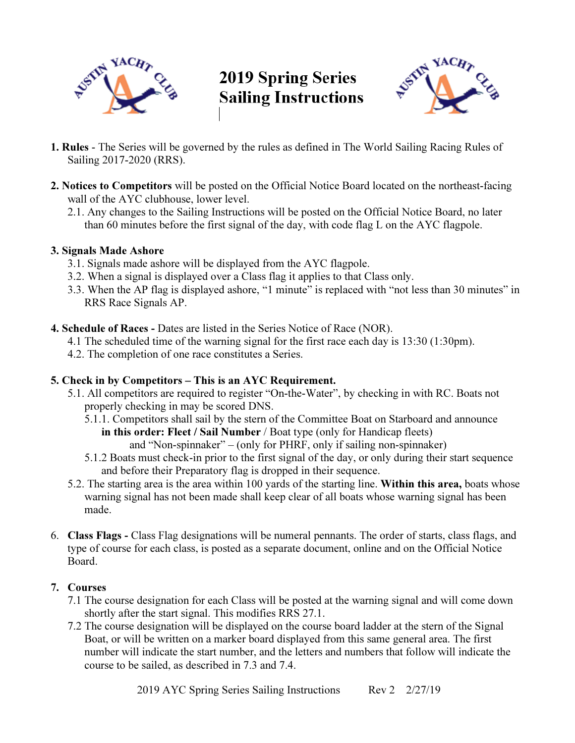

# **2019 Spring Series Sailing Instructions**



- 1. Rules The Series will be governed by the rules as defined in The World Sailing Racing Rules of Sailing 2017-2020 (RRS).
- 2. Notices to Competitors will be posted on the Official Notice Board located on the northeast-facing wall of the AYC clubhouse, lower level.
	- 2.1. Any changes to the Sailing Instructions will be posted on the Official Notice Board, no later than 60 minutes before the first signal of the day, with code flag L on the AYC flagpole.

### 3. Signals Made Ashore

- 3.1. Signals made ashore will be displayed from the AYC flagpole.
- 3.2. When a signal is displayed over a Class flag it applies to that Class only.
- 3.3. When the AP flag is displayed ashore, "1 minute" is replaced with "not less than 30 minutes" in RRS Race Signals AP.
- 4. Schedule of Races Dates are listed in the Series Notice of Race (NOR).
	- 4.1 The scheduled time of the warning signal for the first race each day is 13:30 (1:30pm).
	- 4.2. The completion of one race constitutes a Series.

# 5. Check in by Competitors – This is an AYC Requirement.

- 5.1. All competitors are required to register "On-the-Water", by checking in with RC. Boats not properly checking in may be scored DNS.
	- 5.1.1. Competitors shall sail by the stern of the Committee Boat on Starboard and announce in this order: Fleet / Sail Number / Boat type (only for Handicap fleets)
		- and "Non-spinnaker" (only for PHRF, only if sailing non-spinnaker)
	- 5.1.2 Boats must check-in prior to the first signal of the day, or only during their start sequence and before their Preparatory flag is dropped in their sequence.
- 5.2. The starting area is the area within 100 yards of the starting line. Within this area, boats whose warning signal has not been made shall keep clear of all boats whose warning signal has been made.
- 6. Class Flags Class Flag designations will be numeral pennants. The order of starts, class flags, and type of course for each class, is posted as a separate document, online and on the Official Notice Board.

# 7. Courses

- 7.1 The course designation for each Class will be posted at the warning signal and will come down shortly after the start signal. This modifies RRS 27.1.
- 7.2 The course designation will be displayed on the course board ladder at the stern of the Signal Boat, or will be written on a marker board displayed from this same general area. The first number will indicate the start number, and the letters and numbers that follow will indicate the course to be sailed, as described in 7.3 and 7.4.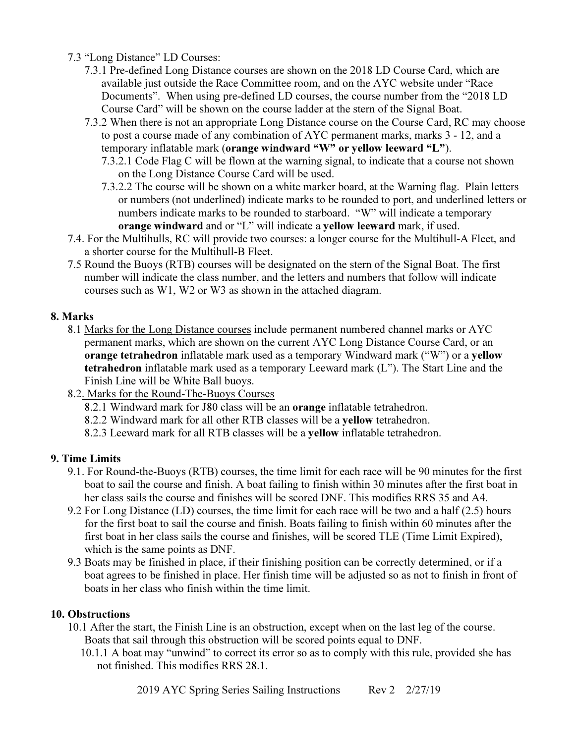7.3 "Long Distance" LD Courses:

- 7.3.1 Pre-defined Long Distance courses are shown on the 2018 LD Course Card, which are available just outside the Race Committee room, and on the AYC website under "Race Documents". When using pre-defined LD courses, the course number from the "2018 LD Course Card" will be shown on the course ladder at the stern of the Signal Boat.
- 7.3.2 When there is not an appropriate Long Distance course on the Course Card, RC may choose to post a course made of any combination of AYC permanent marks, marks 3 - 12, and a temporary inflatable mark (orange windward "W" or yellow leeward "L").
	- 7.3.2.1 Code Flag C will be flown at the warning signal, to indicate that a course not shown on the Long Distance Course Card will be used.
	- 7.3.2.2 The course will be shown on a white marker board, at the Warning flag. Plain letters or numbers (not underlined) indicate marks to be rounded to port, and underlined letters or numbers indicate marks to be rounded to starboard. "W" will indicate a temporary orange windward and or "L" will indicate a yellow leeward mark, if used.
- 7.4. For the Multihulls, RC will provide two courses: a longer course for the Multihull-A Fleet, and a shorter course for the Multihull-B Fleet.
- 7.5 Round the Buoys (RTB) courses will be designated on the stern of the Signal Boat. The first number will indicate the class number, and the letters and numbers that follow will indicate courses such as W1, W2 or W3 as shown in the attached diagram.

# 8. Marks

- 8.1 Marks for the Long Distance courses include permanent numbered channel marks or AYC permanent marks, which are shown on the current AYC Long Distance Course Card, or an orange tetrahedron inflatable mark used as a temporary Windward mark ("W") or a yellow tetrahedron inflatable mark used as a temporary Leeward mark (L"). The Start Line and the Finish Line will be White Ball buoys.
- 8.2. Marks for the Round-The-Buoys Courses
	- 8.2.1 Windward mark for J80 class will be an orange inflatable tetrahedron.
	- 8.2.2 Windward mark for all other RTB classes will be a yellow tetrahedron.
	- 8.2.3 Leeward mark for all RTB classes will be a yellow inflatable tetrahedron.

# 9. Time Limits

- 9.1. For Round-the-Buoys (RTB) courses, the time limit for each race will be 90 minutes for the first boat to sail the course and finish. A boat failing to finish within 30 minutes after the first boat in her class sails the course and finishes will be scored DNF. This modifies RRS 35 and A4.
- 9.2 For Long Distance (LD) courses, the time limit for each race will be two and a half (2.5) hours for the first boat to sail the course and finish. Boats failing to finish within 60 minutes after the first boat in her class sails the course and finishes, will be scored TLE (Time Limit Expired), which is the same points as DNF.
- 9.3 Boats may be finished in place, if their finishing position can be correctly determined, or if a boat agrees to be finished in place. Her finish time will be adjusted so as not to finish in front of boats in her class who finish within the time limit.

#### 10. Obstructions

- 10.1 After the start, the Finish Line is an obstruction, except when on the last leg of the course. Boats that sail through this obstruction will be scored points equal to DNF.
	- 10.1.1 A boat may "unwind" to correct its error so as to comply with this rule, provided she has not finished. This modifies RRS 28.1.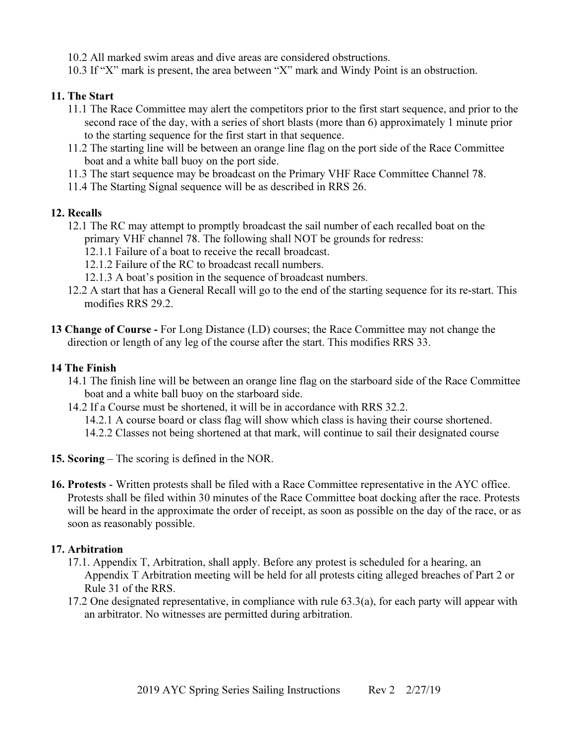10.2 All marked swim areas and dive areas are considered obstructions.

10.3 If "X" mark is present, the area between "X" mark and Windy Point is an obstruction.

#### 11. The Start

- 11.1 The Race Committee may alert the competitors prior to the first start sequence, and prior to the second race of the day, with a series of short blasts (more than 6) approximately 1 minute prior to the starting sequence for the first start in that sequence.
- 11.2 The starting line will be between an orange line flag on the port side of the Race Committee boat and a white ball buoy on the port side.
- 11.3 The start sequence may be broadcast on the Primary VHF Race Committee Channel 78.
- 11.4 The Starting Signal sequence will be as described in RRS 26.

#### 12. Recalls

- 12.1 The RC may attempt to promptly broadcast the sail number of each recalled boat on the primary VHF channel 78. The following shall NOT be grounds for redress:
	- 12.1.1 Failure of a boat to receive the recall broadcast.
	- 12.1.2 Failure of the RC to broadcast recall numbers.
	- 12.1.3 A boat's position in the sequence of broadcast numbers.
- 12.2 A start that has a General Recall will go to the end of the starting sequence for its re-start. This modifies RRS 29.2.
- 13 Change of Course For Long Distance (LD) courses; the Race Committee may not change the direction or length of any leg of the course after the start. This modifies RRS 33.

#### 14 The Finish

- 14.1 The finish line will be between an orange line flag on the starboard side of the Race Committee boat and a white ball buoy on the starboard side.
- 14.2 If a Course must be shortened, it will be in accordance with RRS 32.2.
	- 14.2.1 A course board or class flag will show which class is having their course shortened.
	- 14.2.2 Classes not being shortened at that mark, will continue to sail their designated course
- 15. Scoring The scoring is defined in the NOR.
- 16. Protests Written protests shall be filed with a Race Committee representative in the AYC office. Protests shall be filed within 30 minutes of the Race Committee boat docking after the race. Protests will be heard in the approximate the order of receipt, as soon as possible on the day of the race, or as soon as reasonably possible.

#### 17. Arbitration

- 17.1. Appendix T, Arbitration, shall apply. Before any protest is scheduled for a hearing, an Appendix T Arbitration meeting will be held for all protests citing alleged breaches of Part 2 or Rule 31 of the RRS.
- 17.2 One designated representative, in compliance with rule 63.3(a), for each party will appear with an arbitrator. No witnesses are permitted during arbitration.